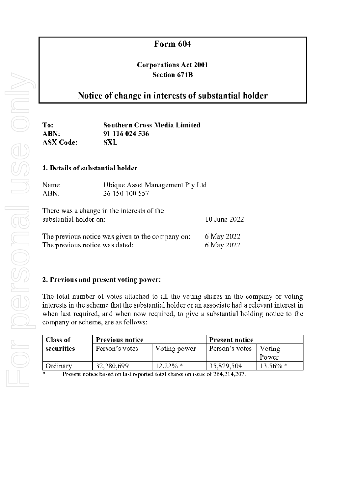# Form 604

## Corporations Act 2001 Section 671B

## Notice of change in interests of substantial holder

To: ABN: ASX Code: Southern Cross Media Limited 91116024536 SXL

#### 1. Details of substantial holder

| Name | Ubique Asset Management Pty Ltd |
|------|---------------------------------|
| ABN: | 36 150 100 557                  |

| There was a change in the interests of the<br>substantial holder on: | 10 June 2022 |
|----------------------------------------------------------------------|--------------|
| The previous notice was given to the company on:                     | 6 May 2022   |
| The previous notice was dated:                                       | 6 May 2022   |

## 2. Previous and present voting power:

The total number of votes attached to all the voting shares in the company or voting interests in the scheme that the substantial holder or an associate had a relevant interest in when last required, and when now required, to give a substantial holding notice to the company or acheme, are as follows:

| <b>Class of</b> | <b>Previous notice</b>                                                     |              | <b>Present notice</b> |             |
|-----------------|----------------------------------------------------------------------------|--------------|-----------------------|-------------|
| securities      | Person's votes                                                             | Voting power | Person's votes        | Voting      |
|                 |                                                                            |              |                       | Tower       |
| Ordinary        | 32,280,699                                                                 | $12.22\%$ *  | 35,829,504            | $13.56\%$ * |
| - 46            | Present notice based on last reported total shares on issue of 264,214,207 |              |                       |             |

Present notice based on last reported total shares on issue of 264,214,207.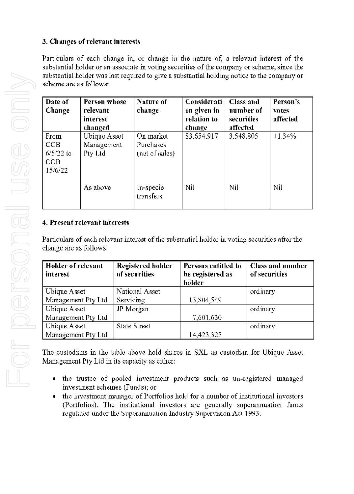## 3. Changes of relevant interests

Particulars of each change in, or change in the nature of, a relevant interest of the substantial holder or an associate in voting securities of the company or scheme, since the substantial holder was last required to give a substantial holding notice to the company or scheme are as follows:

| Date of<br><b>Change</b>                            | <b>Person whose</b><br>relevant<br>interest<br>changed | Nature of<br>change                      | Considerati<br>on given in<br>relation to<br>change | Class and<br>number of<br>securities<br>affected | Person's<br>votes<br>affected |
|-----------------------------------------------------|--------------------------------------------------------|------------------------------------------|-----------------------------------------------------|--------------------------------------------------|-------------------------------|
| From<br>COB<br>$6/5/22$ to<br><b>COB</b><br>15/6/22 | <b>Ubique Asset</b><br>Management<br>Pty Ltd           | On market<br>Purchases<br>(net of sales) | \$3,654,917                                         | 3,548,805                                        | 1.34%                         |
|                                                     | As above                                               | In-specie<br>transfers                   | Nil                                                 | Nil                                              | Nil                           |

## 4. Present relevant interests

Particulars of each relevant interest of the substantial holder in voting securities after the change are as follows:

| <b>Holder of relevant</b><br>in terest | <b>Registered holder</b><br>of securities | Persons entitled to<br>be registered as<br>holder | <b>Class and number</b><br>of securities |
|----------------------------------------|-------------------------------------------|---------------------------------------------------|------------------------------------------|
| Ubique Asset                           | National Asset                            |                                                   | ordinary                                 |
| Management Pty Ltd                     | Servicing                                 | 13,804,549                                        |                                          |
| Ubique Asset                           | JP Morgan                                 |                                                   | ordinary                                 |
| Management Pty Ltd                     |                                           | 7,601,630                                         |                                          |
| Ubique Asset                           | <b>State Street</b>                       |                                                   | ordinary                                 |
| Management Pty Ltd                     |                                           | 14,423,325                                        |                                          |

The custodians in the table above hold shares in SXL as custodian for Ubique Asset Management Pty Ltd in its capacity as either:

- · the trustee of pooled investment products such as un-registered managed investment schemes (Funds); or
- the investment manager of Portfolios held for a number of institutional investors (Portfolios). The institutional investors are generally superannuation funds regulated under the Superannuation Industry Supervision Act 1993.